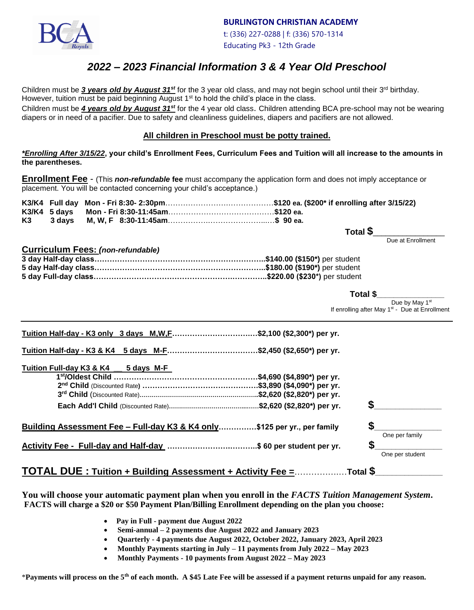

**BURLINGTON CHRISTIAN ACADEMY**

 t: (336) 227-0288 | f: (336) 570-1314 Educating Pk3 - 12th Grade

# *2022 – 2023 Financial Information 3 & 4 Year Old Preschool*

Children must be 3 years old by August 31<sup>st</sup> for the 3 year old class, and may not begin school until their 3<sup>rd</sup> birthday. However, tuition must be paid beginning August  $1<sup>st</sup>$  to hold the child's place in the class.

Children must be *4 years old by August 31st* for the 4 year old class. Children attending BCA pre-school may not be wearing diapers or in need of a pacifier. Due to safety and cleanliness guidelines, diapers and pacifiers are not allowed.

#### **All children in Preschool must be potty trained.**

*\*Enrolling After 3/15/22***, your child's Enrollment Fees, Curriculum Fees and Tuition will all increase to the amounts in the parentheses.**

**Enrollment Fee** - (This *non-refundable* **fee** must accompany the application form and does not imply acceptance or placement. You will be contacted concerning your child's acceptance.)

 **Total \$**\_\_\_\_\_\_\_\_\_\_\_\_\_\_\_\_\_

Due at Enrollment

| Curriculum Fees: (non-refundable) |  |
|-----------------------------------|--|
|                                   |  |
|                                   |  |
|                                   |  |

| Total \$                                                   |
|------------------------------------------------------------|
| Due by May 1 <sup>st</sup>                                 |
| If enrolling after May 1 <sup>st</sup> - Due at Enrollment |

| Tuition Half-day - K3 only 3 days M,W,F\$2,100 (\$2,300*) per yr.        |    |                |
|--------------------------------------------------------------------------|----|----------------|
| Tuition Half-day - K3 & K4 5 days M-F\$2,450 (\$2,650*) per yr.          |    |                |
| Tuition Full-day K3 & K4<br>5 days M-F                                   |    |                |
|                                                                          |    |                |
|                                                                          |    |                |
|                                                                          |    |                |
|                                                                          |    |                |
|                                                                          | \$ |                |
|                                                                          |    |                |
| Building Assessment Fee - Full-day K3 & K4 only\$125 per yr., per family |    | One per family |
| Activity Fee - Full-day and Half-day \$60 per student per yr.            | S  |                |

**You will choose your automatic payment plan when you enroll in the** *FACTS Tuition Management System***. FACTS will charge a \$20 or \$50 Payment Plan/Billing Enrollment depending on the plan you choose:**

- • **Pay in Full - payment due August 2022**
- **Semi-annual – 2 payments due August 2022 and January 2023**
- **Quarterly - 4 payments due August 2022, October 2022, January 2023, April 2023**
- **Monthly Payments starting in July – 11 payments from July 2022 – May 2023**
- **Monthly Payments - 10 payments from August 2022 – May 2023**

\***Payments will process on the 5th of each month. A \$45 Late Fee will be assessed if a payment returns unpaid for any reason.**